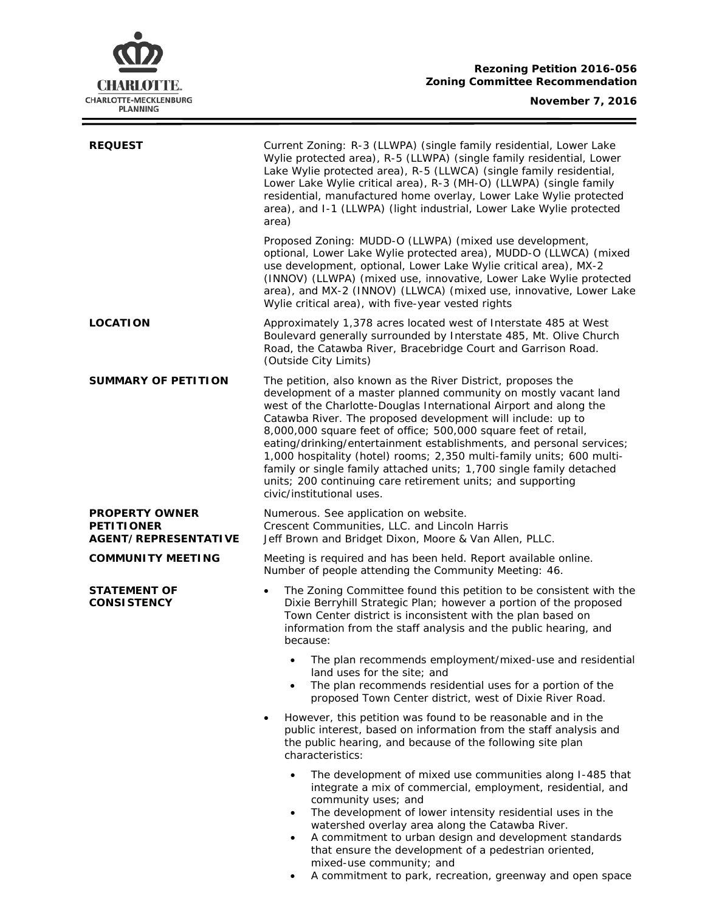

 $\equiv$ 

| <b>REQUEST</b>                                   | Current Zoning: R-3 (LLWPA) (single family residential, Lower Lake<br>Wylie protected area), R-5 (LLWPA) (single family residential, Lower<br>Lake Wylie protected area), R-5 (LLWCA) (single family residential,<br>Lower Lake Wylie critical area), R-3 (MH-O) (LLWPA) (single family<br>residential, manufactured home overlay, Lower Lake Wylie protected<br>area), and I-1 (LLWPA) (light industrial, Lower Lake Wylie protected<br>area)                                                                                                                                                                                                              |  |  |  |
|--------------------------------------------------|-------------------------------------------------------------------------------------------------------------------------------------------------------------------------------------------------------------------------------------------------------------------------------------------------------------------------------------------------------------------------------------------------------------------------------------------------------------------------------------------------------------------------------------------------------------------------------------------------------------------------------------------------------------|--|--|--|
|                                                  | Proposed Zoning: MUDD-O (LLWPA) (mixed use development,<br>optional, Lower Lake Wylie protected area), MUDD-O (LLWCA) (mixed<br>use development, optional, Lower Lake Wylie critical area), MX-2<br>(INNOV) (LLWPA) (mixed use, innovative, Lower Lake Wylie protected<br>area), and MX-2 (INNOV) (LLWCA) (mixed use, innovative, Lower Lake<br>Wylie critical area), with five-year vested rights                                                                                                                                                                                                                                                          |  |  |  |
| <b>LOCATION</b>                                  | Approximately 1,378 acres located west of Interstate 485 at West<br>Boulevard generally surrounded by Interstate 485, Mt. Olive Church<br>Road, the Catawba River, Bracebridge Court and Garrison Road.<br>(Outside City Limits)                                                                                                                                                                                                                                                                                                                                                                                                                            |  |  |  |
| <b>SUMMARY OF PETITION</b>                       | The petition, also known as the River District, proposes the<br>development of a master planned community on mostly vacant land<br>west of the Charlotte-Douglas International Airport and along the<br>Catawba River. The proposed development will include: up to<br>8,000,000 square feet of office; 500,000 square feet of retail,<br>eating/drinking/entertainment establishments, and personal services;<br>1,000 hospitality (hotel) rooms; 2,350 multi-family units; 600 multi-<br>family or single family attached units; 1,700 single family detached<br>units; 200 continuing care retirement units; and supporting<br>civic/institutional uses. |  |  |  |
| <b>PROPERTY OWNER</b>                            | Numerous. See application on website.<br>Crescent Communities, LLC. and Lincoln Harris<br>Jeff Brown and Bridget Dixon, Moore & Van Allen, PLLC.                                                                                                                                                                                                                                                                                                                                                                                                                                                                                                            |  |  |  |
| <b>PETITIONER</b><br><b>AGENT/REPRESENTATIVE</b> |                                                                                                                                                                                                                                                                                                                                                                                                                                                                                                                                                                                                                                                             |  |  |  |
| <b>COMMUNITY MEETING</b>                         | Meeting is required and has been held. Report available online.<br>Number of people attending the Community Meeting: 46.                                                                                                                                                                                                                                                                                                                                                                                                                                                                                                                                    |  |  |  |
| <b>STATEMENT OF</b><br><b>CONSISTENCY</b>        | The Zoning Committee found this petition to be consistent with the<br>$\bullet$<br>Dixie Berryhill Strategic Plan; however a portion of the proposed<br>Town Center district is inconsistent with the plan based on<br>information from the staff analysis and the public hearing, and<br>because:                                                                                                                                                                                                                                                                                                                                                          |  |  |  |
|                                                  | The plan recommends employment/mixed-use and residential<br>land uses for the site; and<br>The plan recommends residential uses for a portion of the<br>$\bullet$<br>proposed Town Center district, west of Dixie River Road.                                                                                                                                                                                                                                                                                                                                                                                                                               |  |  |  |
|                                                  | However, this petition was found to be reasonable and in the<br>public interest, based on information from the staff analysis and<br>the public hearing, and because of the following site plan<br>characteristics:                                                                                                                                                                                                                                                                                                                                                                                                                                         |  |  |  |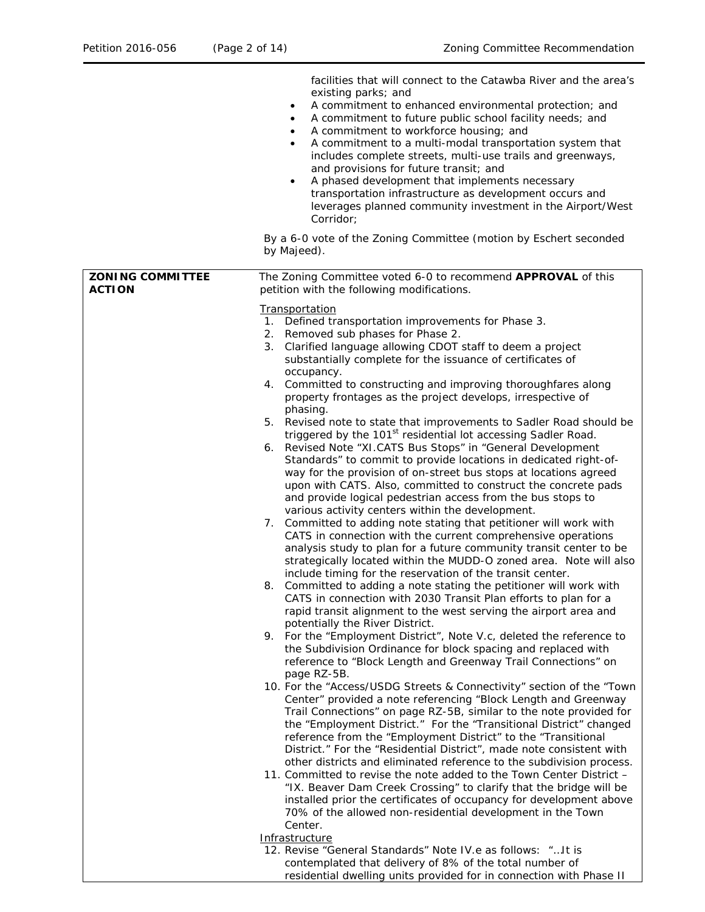|                                          | facilities that will connect to the Catawba River and the area's<br>existing parks; and<br>A commitment to enhanced environmental protection; and<br>$\bullet$<br>A commitment to future public school facility needs; and<br>$\bullet$<br>A commitment to workforce housing; and<br>$\bullet$<br>A commitment to a multi-modal transportation system that<br>$\bullet$<br>includes complete streets, multi-use trails and greenways,<br>and provisions for future transit; and                                                              |
|------------------------------------------|----------------------------------------------------------------------------------------------------------------------------------------------------------------------------------------------------------------------------------------------------------------------------------------------------------------------------------------------------------------------------------------------------------------------------------------------------------------------------------------------------------------------------------------------|
|                                          | A phased development that implements necessary<br>$\bullet$<br>transportation infrastructure as development occurs and<br>leverages planned community investment in the Airport/West<br>Corridor:                                                                                                                                                                                                                                                                                                                                            |
|                                          | By a 6-0 vote of the Zoning Committee (motion by Eschert seconded<br>by Majeed).                                                                                                                                                                                                                                                                                                                                                                                                                                                             |
| <b>ZONING COMMITTEE</b><br><b>ACTION</b> | The Zoning Committee voted 6-0 to recommend APPROVAL of this<br>petition with the following modifications.                                                                                                                                                                                                                                                                                                                                                                                                                                   |
|                                          | Transportation<br>1. Defined transportation improvements for Phase 3.<br>2. Removed sub phases for Phase 2.<br>3. Clarified language allowing CDOT staff to deem a project<br>substantially complete for the issuance of certificates of                                                                                                                                                                                                                                                                                                     |
|                                          | occupancy.<br>4. Committed to constructing and improving thoroughfares along<br>property frontages as the project develops, irrespective of<br>phasing.                                                                                                                                                                                                                                                                                                                                                                                      |
|                                          | 5. Revised note to state that improvements to Sadler Road should be<br>triggered by the 101 <sup>st</sup> residential lot accessing Sadler Road.<br>6. Revised Note "XI.CATS Bus Stops" in "General Development<br>Standards" to commit to provide locations in dedicated right-of-<br>way for the provision of on-street bus stops at locations agreed<br>upon with CATS. Also, committed to construct the concrete pads<br>and provide logical pedestrian access from the bus stops to<br>various activity centers within the development. |
|                                          | 7. Committed to adding note stating that petitioner will work with<br>CATS in connection with the current comprehensive operations<br>analysis study to plan for a future community transit center to be<br>strategically located within the MUDD-O zoned area. Note will also<br>include timing for the reservation of the transit center.                                                                                                                                                                                                  |
|                                          | Committed to adding a note stating the petitioner will work with<br>8.<br>CATS in connection with 2030 Transit Plan efforts to plan for a<br>rapid transit alignment to the west serving the airport area and<br>potentially the River District.                                                                                                                                                                                                                                                                                             |
|                                          | 9. For the "Employment District", Note V.c, deleted the reference to<br>the Subdivision Ordinance for block spacing and replaced with<br>reference to "Block Length and Greenway Trail Connections" on<br>page RZ-5B.                                                                                                                                                                                                                                                                                                                        |
|                                          | 10. For the "Access/USDG Streets & Connectivity" section of the "Town<br>Center" provided a note referencing "Block Length and Greenway<br>Trail Connections" on page RZ-5B, similar to the note provided for<br>the "Employment District." For the "Transitional District" changed<br>reference from the "Employment District" to the "Transitional<br>District." For the "Residential District", made note consistent with<br>other districts and eliminated reference to the subdivision process.                                         |
|                                          | 11. Committed to revise the note added to the Town Center District -<br>"IX. Beaver Dam Creek Crossing" to clarify that the bridge will be<br>installed prior the certificates of occupancy for development above<br>70% of the allowed non-residential development in the Town<br>Center.                                                                                                                                                                                                                                                   |
|                                          | Infrastructure<br>12. Revise "General Standards" Note IV.e as follows: " It is                                                                                                                                                                                                                                                                                                                                                                                                                                                               |
|                                          | contemplated that delivery of 8% of the total number of<br>residential dwelling units provided for in connection with Phase II                                                                                                                                                                                                                                                                                                                                                                                                               |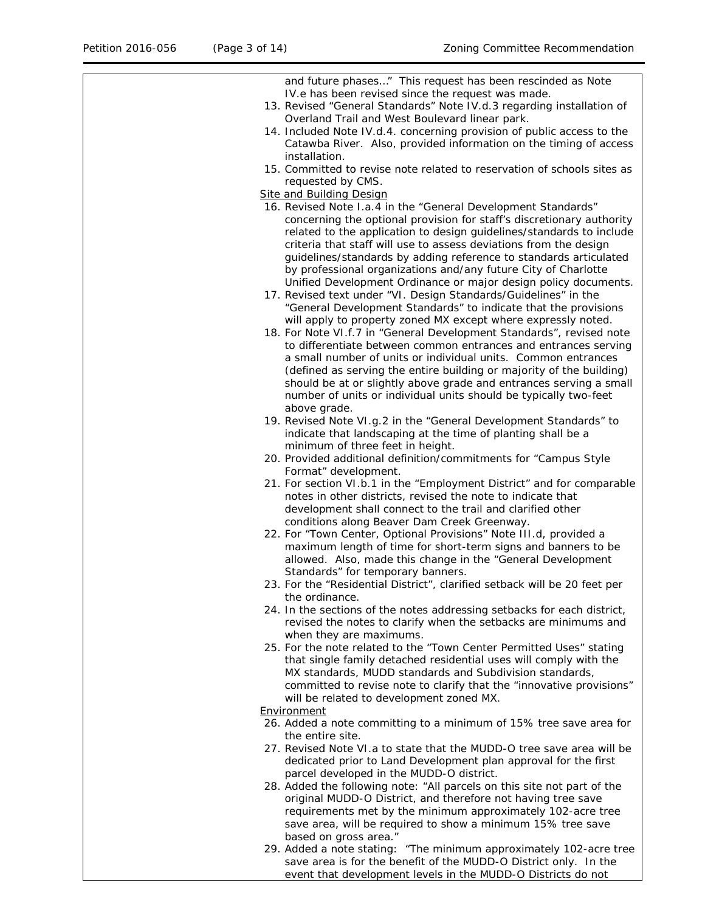| and future phases" This request has been rescinded as Note                                                                                |
|-------------------------------------------------------------------------------------------------------------------------------------------|
| IV.e has been revised since the request was made.                                                                                         |
| 13. Revised "General Standards" Note IV.d.3 regarding installation of                                                                     |
| Overland Trail and West Boulevard linear park.                                                                                            |
| 14. Included Note IV.d.4. concerning provision of public access to the                                                                    |
| Catawba River. Also, provided information on the timing of access<br>installation.                                                        |
| 15. Committed to revise note related to reservation of schools sites as                                                                   |
| requested by CMS.                                                                                                                         |
| <b>Site and Building Design</b>                                                                                                           |
| 16. Revised Note I.a.4 in the "General Development Standards"                                                                             |
| concerning the optional provision for staff's discretionary authority                                                                     |
| related to the application to design guidelines/standards to include                                                                      |
| criteria that staff will use to assess deviations from the design                                                                         |
| guidelines/standards by adding reference to standards articulated                                                                         |
| by professional organizations and/any future City of Charlotte                                                                            |
| Unified Development Ordinance or major design policy documents.                                                                           |
| 17. Revised text under "VI. Design Standards/Guidelines" in the                                                                           |
| "General Development Standards" to indicate that the provisions                                                                           |
| will apply to property zoned MX except where expressly noted.                                                                             |
| 18. For Note VI.f.7 in "General Development Standards", revised note                                                                      |
| to differentiate between common entrances and entrances serving                                                                           |
| a small number of units or individual units. Common entrances<br>(defined as serving the entire building or majority of the building)     |
| should be at or slightly above grade and entrances serving a small                                                                        |
| number of units or individual units should be typically two-feet                                                                          |
| above grade.                                                                                                                              |
| 19. Revised Note VI.g.2 in the "General Development Standards" to                                                                         |
| indicate that landscaping at the time of planting shall be a                                                                              |
| minimum of three feet in height.                                                                                                          |
| 20. Provided additional definition/commitments for "Campus Style                                                                          |
| Format" development.                                                                                                                      |
| 21. For section VI.b.1 in the "Employment District" and for comparable                                                                    |
| notes in other districts, revised the note to indicate that                                                                               |
| development shall connect to the trail and clarified other<br>conditions along Beaver Dam Creek Greenway.                                 |
| 22. For "Town Center, Optional Provisions" Note III.d, provided a                                                                         |
| maximum length of time for short-term signs and banners to be                                                                             |
| allowed. Also, made this change in the "General Development                                                                               |
| Standards" for temporary banners.                                                                                                         |
| 23. For the "Residential District", clarified setback will be 20 feet per                                                                 |
| the ordinance.                                                                                                                            |
| 24. In the sections of the notes addressing setbacks for each district,                                                                   |
| revised the notes to clarify when the setbacks are minimums and                                                                           |
| when they are maximums.                                                                                                                   |
| 25. For the note related to the "Town Center Permitted Uses" stating<br>that single family detached residential uses will comply with the |
| MX standards, MUDD standards and Subdivision standards,                                                                                   |
| committed to revise note to clarify that the "innovative provisions"                                                                      |
| will be related to development zoned MX.                                                                                                  |
| Environment                                                                                                                               |
| 26. Added a note committing to a minimum of 15% tree save area for                                                                        |
| the entire site.                                                                                                                          |
| 27. Revised Note VI.a to state that the MUDD-O tree save area will be                                                                     |
| dedicated prior to Land Development plan approval for the first                                                                           |
| parcel developed in the MUDD-O district.                                                                                                  |
| 28. Added the following note: "All parcels on this site not part of the<br>original MUDD-O District, and therefore not having tree save   |
| requirements met by the minimum approximately 102-acre tree                                                                               |
| save area, will be required to show a minimum 15% tree save                                                                               |
| based on gross area."                                                                                                                     |
| 29. Added a note stating: "The minimum approximately 102-acre tree                                                                        |
| save area is for the benefit of the MUDD-O District only. In the                                                                          |
| event that development levels in the MUDD-O Districts do not                                                                              |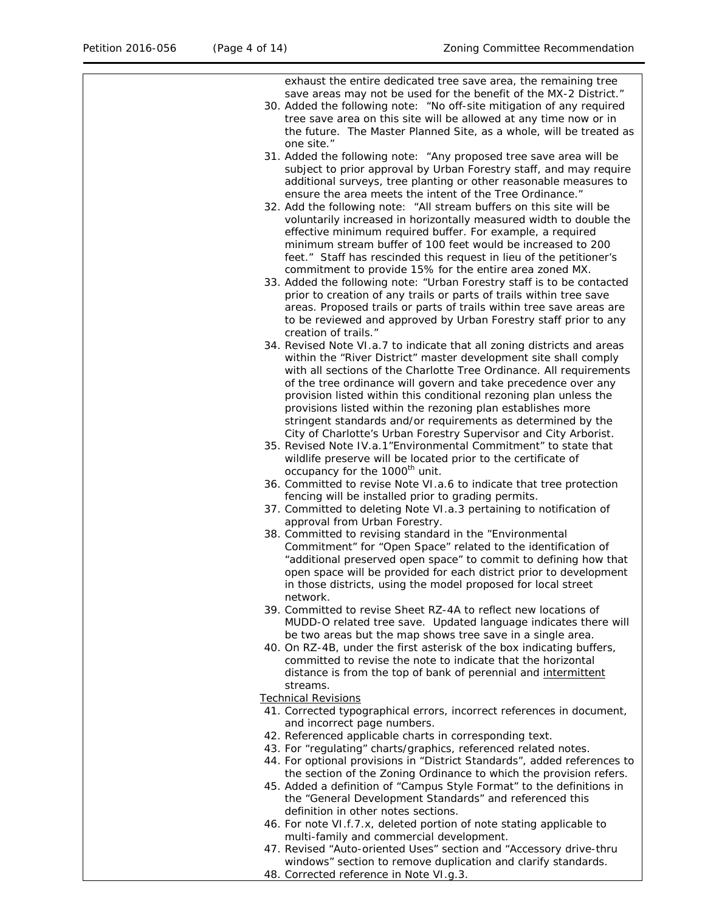exhaust the entire dedicated tree save area, the remaining tree save areas may not be used for the benefit of the MX-2 District." 30. Added the following note: "No off-site mitigation of any required tree save area on this site will be allowed at any time now or in the future. The Master Planned Site, as a whole, will be treated as one site." 31. Added the following note: "Any proposed tree save area will be subject to prior approval by Urban Forestry staff, and may require additional surveys, tree planting or other reasonable measures to ensure the area meets the intent of the Tree Ordinance." 32. Add the following note: "All stream buffers on this site will be voluntarily increased in horizontally measured width to double the effective minimum required buffer. For example, a required minimum stream buffer of 100 feet would be increased to 200 feet." *Staff has rescinded this request in lieu of the petitioner's commitment to provide 15% for the entire area zoned MX.*  33. Added the following note: "Urban Forestry staff is to be contacted prior to creation of any trails or parts of trails within tree save areas. Proposed trails or parts of trails within tree save areas are to be reviewed and approved by Urban Forestry staff prior to any creation of trails." 34. Revised Note VI.a.7 to indicate that all zoning districts and areas within the "River District" master development site shall comply with all sections of the Charlotte Tree Ordinance. All requirements of the tree ordinance will govern and take precedence over any provision listed within this conditional rezoning plan unless the provisions listed within the rezoning plan establishes more stringent standards and/or requirements as determined by the City of Charlotte's Urban Forestry Supervisor and City Arborist. 35. Revised Note IV.a.1"Environmental Commitment" to state that wildlife preserve will be located prior to the certificate of occupancy for the 1000<sup>th</sup> unit. 36. Committed to revise Note VI.a.6 to indicate that tree protection fencing will be installed prior to grading permits. 37. Committed to deleting Note VI.a.3 pertaining to notification of approval from Urban Forestry. 38. Committed to revising standard in the "Environmental Commitment" for "Open Space" related to the identification of "additional preserved open space" to commit to defining how that open space will be provided for each district prior to development in those districts, using the model proposed for local street network. 39. Committed to revise Sheet RZ-4A to reflect new locations of MUDD-O related tree save. Updated language indicates there will be two areas but the map shows tree save in a single area. 40. On RZ-4B, under the first asterisk of the box indicating buffers, committed to revise the note to indicate that the horizontal distance is from the top of bank of perennial and intermittent streams. Technical Revisions 41. Corrected typographical errors, incorrect references in document, and incorrect page numbers. 42. Referenced applicable charts in corresponding text. 43. For "regulating" charts/graphics, referenced related notes. 44. For optional provisions in "District Standards", added references to the section of the Zoning Ordinance to which the provision refers. 45. Added a definition of "Campus Style Format" to the definitions in the "General Development Standards" and referenced this definition in other notes sections. 46. For note VI.f.7.x, deleted portion of note stating applicable to multi-family and commercial development. 47. Revised "Auto-oriented Uses" section and "Accessory drive-thru windows" section to remove duplication and clarify standards.

48. Corrected reference in Note VI.g.3.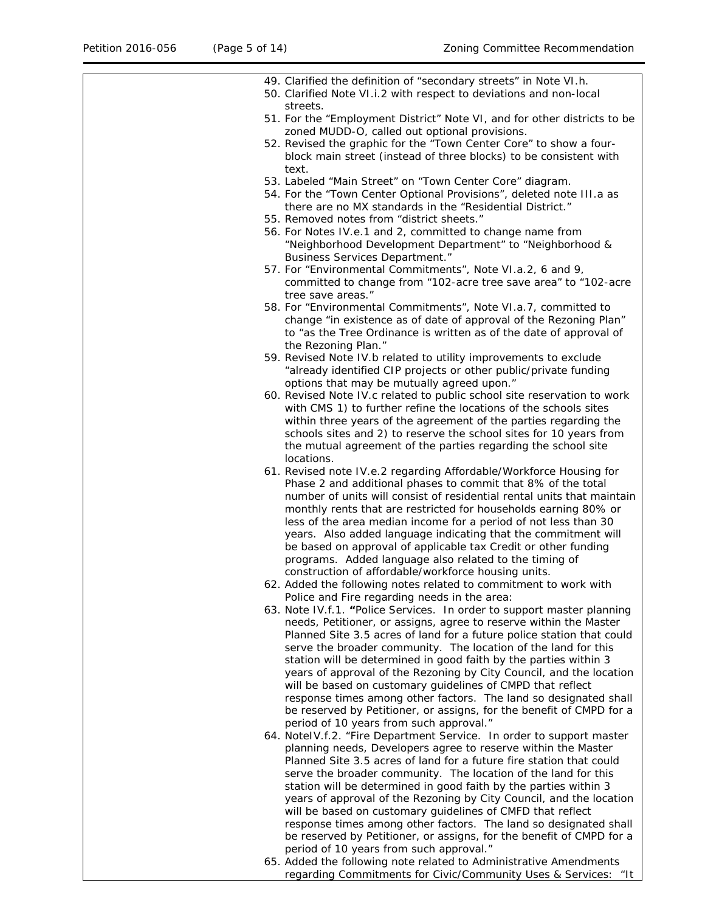| 49. Clarified the definition of "secondary streets" in Note VI.h.<br>50. Clarified Note VI.i.2 with respect to deviations and non-local<br>streets.                                                       |
|-----------------------------------------------------------------------------------------------------------------------------------------------------------------------------------------------------------|
| 51. For the "Employment District" Note VI, and for other districts to be<br>zoned MUDD-O, called out optional provisions.                                                                                 |
| 52. Revised the graphic for the "Town Center Core" to show a four-<br>block main street (instead of three blocks) to be consistent with                                                                   |
| text.<br>53. Labeled "Main Street" on "Town Center Core" diagram.                                                                                                                                         |
| 54. For the "Town Center Optional Provisions", deleted note III.a as<br>there are no MX standards in the "Residential District."                                                                          |
| 55. Removed notes from "district sheets."<br>56. For Notes IV.e.1 and 2, committed to change name from                                                                                                    |
| "Neighborhood Development Department" to "Neighborhood &<br><b>Business Services Department."</b>                                                                                                         |
| 57. For "Environmental Commitments", Note VI.a.2, 6 and 9,<br>committed to change from "102-acre tree save area" to "102-acre                                                                             |
| tree save areas."                                                                                                                                                                                         |
| 58. For "Environmental Commitments", Note VI.a.7, committed to<br>change "in existence as of date of approval of the Rezoning Plan"<br>to "as the Tree Ordinance is written as of the date of approval of |
| the Rezoning Plan."                                                                                                                                                                                       |
| 59. Revised Note IV.b related to utility improvements to exclude<br>"already identified CIP projects or other public/private funding<br>options that may be mutually agreed upon."                        |
| 60. Revised Note IV.c related to public school site reservation to work<br>with CMS 1) to further refine the locations of the schools sites                                                               |
| within three years of the agreement of the parties regarding the<br>schools sites and 2) to reserve the school sites for 10 years from                                                                    |
| the mutual agreement of the parties regarding the school site<br>locations.                                                                                                                               |
| 61. Revised note IV.e.2 regarding Affordable/Workforce Housing for<br>Phase 2 and additional phases to commit that 8% of the total                                                                        |
| number of units will consist of residential rental units that maintain<br>monthly rents that are restricted for households earning 80% or                                                                 |
| less of the area median income for a period of not less than 30<br>years. Also added language indicating that the commitment will                                                                         |
| be based on approval of applicable tax Credit or other funding                                                                                                                                            |
| programs. Added language also related to the timing of<br>construction of affordable/workforce housing units.                                                                                             |
| 62. Added the following notes related to commitment to work with<br>Police and Fire regarding needs in the area:                                                                                          |
| 63. Note IV.f.1. "Police Services. In order to support master planning<br>needs, Petitioner, or assigns, agree to reserve within the Master                                                               |
| Planned Site 3.5 acres of land for a future police station that could<br>serve the broader community. The location of the land for this                                                                   |
| station will be determined in good faith by the parties within 3                                                                                                                                          |
| years of approval of the Rezoning by City Council, and the location<br>will be based on customary guidelines of CMPD that reflect                                                                         |
| response times among other factors. The land so designated shall<br>be reserved by Petitioner, or assigns, for the benefit of CMPD for a<br>period of 10 years from such approval."                       |
| 64. NotelV.f.2. "Fire Department Service. In order to support master                                                                                                                                      |
| planning needs, Developers agree to reserve within the Master<br>Planned Site 3.5 acres of land for a future fire station that could                                                                      |
| serve the broader community. The location of the land for this<br>station will be determined in good faith by the parties within 3                                                                        |
| years of approval of the Rezoning by City Council, and the location<br>will be based on customary guidelines of CMFD that reflect                                                                         |
| response times among other factors. The land so designated shall<br>be reserved by Petitioner, or assigns, for the benefit of CMPD for a                                                                  |
| period of 10 years from such approval."<br>65. Added the following note related to Administrative Amendments                                                                                              |
| regarding Commitments for Civic/Community Uses & Services: "It                                                                                                                                            |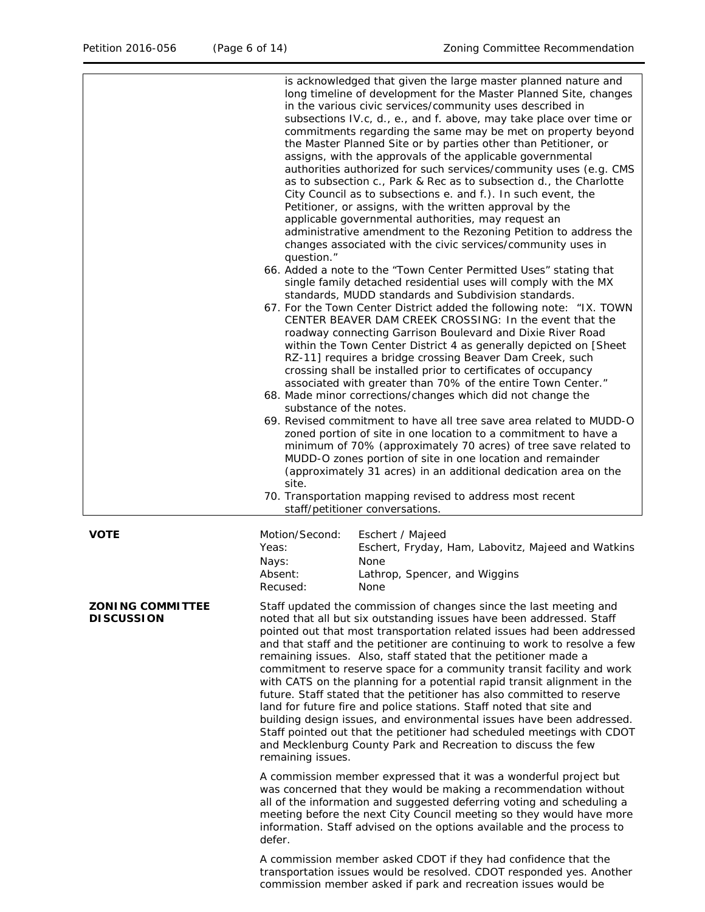|                                              | is acknowledged that given the large master planned nature and<br>long timeline of development for the Master Planned Site, changes<br>in the various civic services/community uses described in<br>subsections IV.c, d., e., and f. above, may take place over time or<br>commitments regarding the same may be met on property beyond<br>the Master Planned Site or by parties other than Petitioner, or<br>assigns, with the approvals of the applicable governmental<br>authorities authorized for such services/community uses (e.g. CMS<br>as to subsection c., Park & Rec as to subsection d., the Charlotte<br>City Council as to subsections e. and f.). In such event, the<br>Petitioner, or assigns, with the written approval by the<br>applicable governmental authorities, may request an<br>administrative amendment to the Rezoning Petition to address the<br>changes associated with the civic services/community uses in<br>question."<br>66. Added a note to the "Town Center Permitted Uses" stating that<br>single family detached residential uses will comply with the MX<br>standards, MUDD standards and Subdivision standards.<br>67. For the Town Center District added the following note: "IX. TOWN<br>CENTER BEAVER DAM CREEK CROSSING: In the event that the<br>roadway connecting Garrison Boulevard and Dixie River Road<br>within the Town Center District 4 as generally depicted on [Sheet<br>RZ-11] requires a bridge crossing Beaver Dam Creek, such<br>crossing shall be installed prior to certificates of occupancy<br>associated with greater than 70% of the entire Town Center."<br>68. Made minor corrections/changes which did not change the<br>substance of the notes.<br>69. Revised commitment to have all tree save area related to MUDD-O<br>zoned portion of site in one location to a commitment to have a<br>minimum of 70% (approximately 70 acres) of tree save related to<br>MUDD-O zones portion of site in one location and remainder<br>(approximately 31 acres) in an additional dedication area on the<br>site.<br>70. Transportation mapping revised to address most recent<br>staff/petitioner conversations. |  |  |  |
|----------------------------------------------|---------------------------------------------------------------------------------------------------------------------------------------------------------------------------------------------------------------------------------------------------------------------------------------------------------------------------------------------------------------------------------------------------------------------------------------------------------------------------------------------------------------------------------------------------------------------------------------------------------------------------------------------------------------------------------------------------------------------------------------------------------------------------------------------------------------------------------------------------------------------------------------------------------------------------------------------------------------------------------------------------------------------------------------------------------------------------------------------------------------------------------------------------------------------------------------------------------------------------------------------------------------------------------------------------------------------------------------------------------------------------------------------------------------------------------------------------------------------------------------------------------------------------------------------------------------------------------------------------------------------------------------------------------------------------------------------------------------------------------------------------------------------------------------------------------------------------------------------------------------------------------------------------------------------------------------------------------------------------------------------------------------------------------------------------------------------------------------------------------------------------------------------------------------------------------|--|--|--|
| <b>VOTE</b>                                  | Motion/Second:<br>Eschert / Majeed<br>Yeas:<br>Eschert, Fryday, Ham, Labovitz, Majeed and Watkins<br>Nays:<br>None<br>Absent:<br>Lathrop, Spencer, and Wiggins<br>Recused:<br>None                                                                                                                                                                                                                                                                                                                                                                                                                                                                                                                                                                                                                                                                                                                                                                                                                                                                                                                                                                                                                                                                                                                                                                                                                                                                                                                                                                                                                                                                                                                                                                                                                                                                                                                                                                                                                                                                                                                                                                                              |  |  |  |
| <b>ZONING COMMITTEE</b><br><b>DISCUSSION</b> | Staff updated the commission of changes since the last meeting and<br>noted that all but six outstanding issues have been addressed. Staff<br>pointed out that most transportation related issues had been addressed<br>and that staff and the petitioner are continuing to work to resolve a few<br>remaining issues. Also, staff stated that the petitioner made a<br>commitment to reserve space for a community transit facility and work<br>with CATS on the planning for a potential rapid transit alignment in the<br>future. Staff stated that the petitioner has also committed to reserve<br>land for future fire and police stations. Staff noted that site and<br>building design issues, and environmental issues have been addressed.<br>Staff pointed out that the petitioner had scheduled meetings with CDOT<br>and Mecklenburg County Park and Recreation to discuss the few<br>remaining issues.                                                                                                                                                                                                                                                                                                                                                                                                                                                                                                                                                                                                                                                                                                                                                                                                                                                                                                                                                                                                                                                                                                                                                                                                                                                             |  |  |  |
|                                              | A commission member expressed that it was a wonderful project but<br>was concerned that they would be making a recommendation without<br>all of the information and suggested deferring voting and scheduling a<br>meeting before the next City Council meeting so they would have more<br>information. Staff advised on the options available and the process to<br>defer.                                                                                                                                                                                                                                                                                                                                                                                                                                                                                                                                                                                                                                                                                                                                                                                                                                                                                                                                                                                                                                                                                                                                                                                                                                                                                                                                                                                                                                                                                                                                                                                                                                                                                                                                                                                                     |  |  |  |

A commission member asked CDOT if they had confidence that the transportation issues would be resolved. CDOT responded yes. Another commission member asked if park and recreation issues would be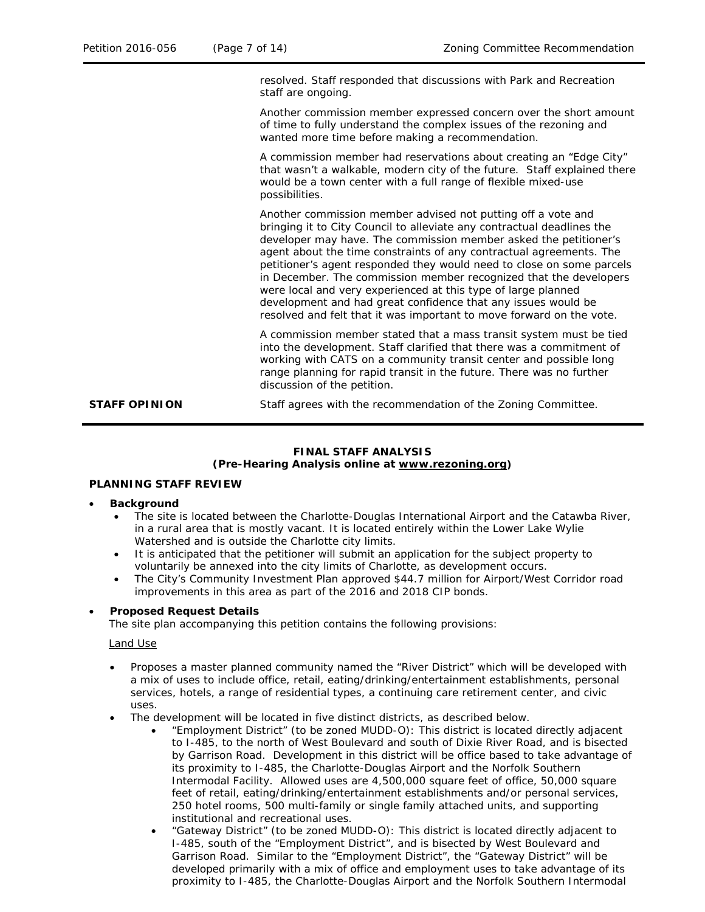resolved. Staff responded that discussions with Park and Recreation staff are ongoing.

Another commission member expressed concern over the short amount of time to fully understand the complex issues of the rezoning and wanted more time before making a recommendation.

A commission member had reservations about creating an "Edge City" that wasn't a walkable, modern city of the future. Staff explained there would be a town center with a full range of flexible mixed-use possibilities.

Another commission member advised not putting off a vote and bringing it to City Council to alleviate any contractual deadlines the developer may have. The commission member asked the petitioner's agent about the time constraints of any contractual agreements. The petitioner's agent responded they would need to close on some parcels in December. The commission member recognized that the developers were local and very experienced at this type of large planned development and had great confidence that any issues would be resolved and felt that it was important to move forward on the vote.

A commission member stated that a mass transit system must be tied into the development. Staff clarified that there was a commitment of working with CATS on a community transit center and possible long range planning for rapid transit in the future. There was no further discussion of the petition.

**STAFF OPINION** Staff agrees with the recommendation of the Zoning Committee.

### **FINAL STAFF ANALYSIS (Pre-Hearing Analysis online at [www.rezoning.org\)](http://www.rezoning.org/)**

### **PLANNING STAFF REVIEW**

- **Background** 
	- The site is located between the Charlotte-Douglas International Airport and the Catawba River, in a rural area that is mostly vacant. It is located entirely within the Lower Lake Wylie Watershed and is outside the Charlotte city limits.
	- It is anticipated that the petitioner will submit an application for the subject property to voluntarily be annexed into the city limits of Charlotte, as development occurs.
	- The City's Community Investment Plan approved \$44.7 million for Airport/West Corridor road improvements in this area as part of the 2016 and 2018 CIP bonds.

### • **Proposed Request Details**

The site plan accompanying this petition contains the following provisions:

### Land Use

- Proposes a master planned community named the "River District" which will be developed with a mix of uses to include office, retail, eating/drinking/entertainment establishments, personal services, hotels, a range of residential types, a continuing care retirement center, and civic uses.
- The development will be located in five distinct districts, as described below.
	- "Employment District" (to be zoned MUDD-O): This district is located directly adjacent to I-485, to the north of West Boulevard and south of Dixie River Road, and is bisected by Garrison Road. Development in this district will be office based to take advantage of its proximity to I-485, the Charlotte-Douglas Airport and the Norfolk Southern Intermodal Facility. Allowed uses are 4,500,000 square feet of office, 50,000 square feet of retail, eating/drinking/entertainment establishments and/or personal services, 250 hotel rooms, 500 multi-family or single family attached units, and supporting institutional and recreational uses.
	- "Gateway District" (to be zoned MUDD-O): This district is located directly adjacent to I-485, south of the "Employment District", and is bisected by West Boulevard and Garrison Road. Similar to the "Employment District", the "Gateway District" will be developed primarily with a mix of office and employment uses to take advantage of its proximity to I-485, the Charlotte-Douglas Airport and the Norfolk Southern Intermodal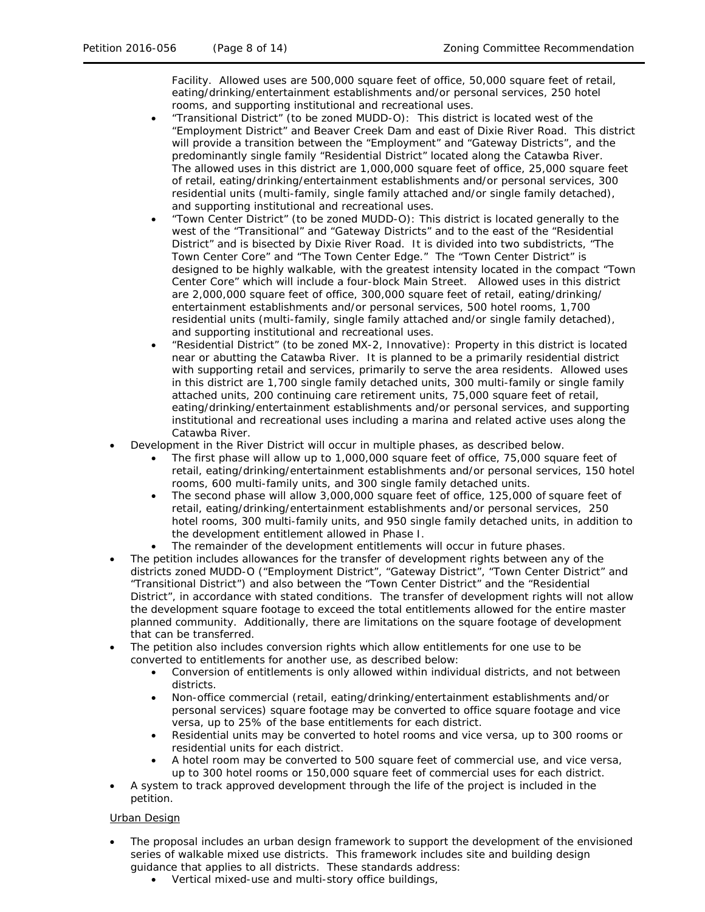Facility. Allowed uses are 500,000 square feet of office, 50,000 square feet of retail, eating/drinking/entertainment establishments and/or personal services, 250 hotel rooms, and supporting institutional and recreational uses.

- "Transitional District" (to be zoned MUDD-O): This district is located west of the "Employment District" and Beaver Creek Dam and east of Dixie River Road. This district will provide a transition between the "Employment" and "Gateway Districts", and the predominantly single family "Residential District" located along the Catawba River. The allowed uses in this district are 1,000,000 square feet of office, 25,000 square feet of retail, eating/drinking/entertainment establishments and/or personal services, 300 residential units (multi-family, single family attached and/or single family detached), and supporting institutional and recreational uses.
- "Town Center District" (to be zoned MUDD-O): This district is located generally to the west of the "Transitional" and "Gateway Districts" and to the east of the "Residential District" and is bisected by Dixie River Road. It is divided into two subdistricts, "The Town Center Core" and "The Town Center Edge." The "Town Center District" is designed to be highly walkable, with the greatest intensity located in the compact "Town Center Core" which will include a four-block Main Street. Allowed uses in this district are 2,000,000 square feet of office, 300,000 square feet of retail, eating/drinking/ entertainment establishments and/or personal services, 500 hotel rooms, 1,700 residential units (multi-family, single family attached and/or single family detached), and supporting institutional and recreational uses.
- "Residential District" (to be zoned MX-2, Innovative): Property in this district is located near or abutting the Catawba River. It is planned to be a primarily residential district with supporting retail and services, primarily to serve the area residents. Allowed uses in this district are 1,700 single family detached units, 300 multi-family or single family attached units, 200 continuing care retirement units, 75,000 square feet of retail, eating/drinking/entertainment establishments and/or personal services, and supporting institutional and recreational uses including a marina and related active uses along the Catawba River.
- Development in the River District will occur in multiple phases, as described below.
	- The first phase will allow up to 1,000,000 square feet of office, 75,000 square feet of retail, eating/drinking/entertainment establishments and/or personal services, 150 hotel rooms, 600 multi-family units, and 300 single family detached units.
	- The second phase will allow 3,000,000 square feet of office, 125,000 of square feet of retail, eating/drinking/entertainment establishments and/or personal services, 250 hotel rooms, 300 multi-family units, and 950 single family detached units, in addition to the development entitlement allowed in Phase I.
	- The remainder of the development entitlements will occur in future phases.
- The petition includes allowances for the transfer of development rights between any of the districts zoned MUDD-O ("Employment District", "Gateway District", "Town Center District" and "Transitional District") and also between the "Town Center District" and the "Residential District", in accordance with stated conditions. The transfer of development rights will not allow the development square footage to exceed the total entitlements allowed for the entire master planned community. Additionally, there are limitations on the square footage of development that can be transferred.
- The petition also includes conversion rights which allow entitlements for one use to be converted to entitlements for another use, as described below:
	- Conversion of entitlements is only allowed within individual districts, and not between districts.
	- Non-office commercial (retail, eating/drinking/entertainment establishments and/or personal services) square footage may be converted to office square footage and vice versa, up to 25% of the base entitlements for each district.
	- Residential units may be converted to hotel rooms and vice versa, up to 300 rooms or residential units for each district.
	- A hotel room may be converted to 500 square feet of commercial use, and vice versa, up to 300 hotel rooms or 150,000 square feet of commercial uses for each district.
- A system to track approved development through the life of the project is included in the petition.

### Urban Design

- The proposal includes an urban design framework to support the development of the envisioned series of walkable mixed use districts. This framework includes site and building design guidance that applies to all districts. These standards address:
	- Vertical mixed-use and multi-story office buildings,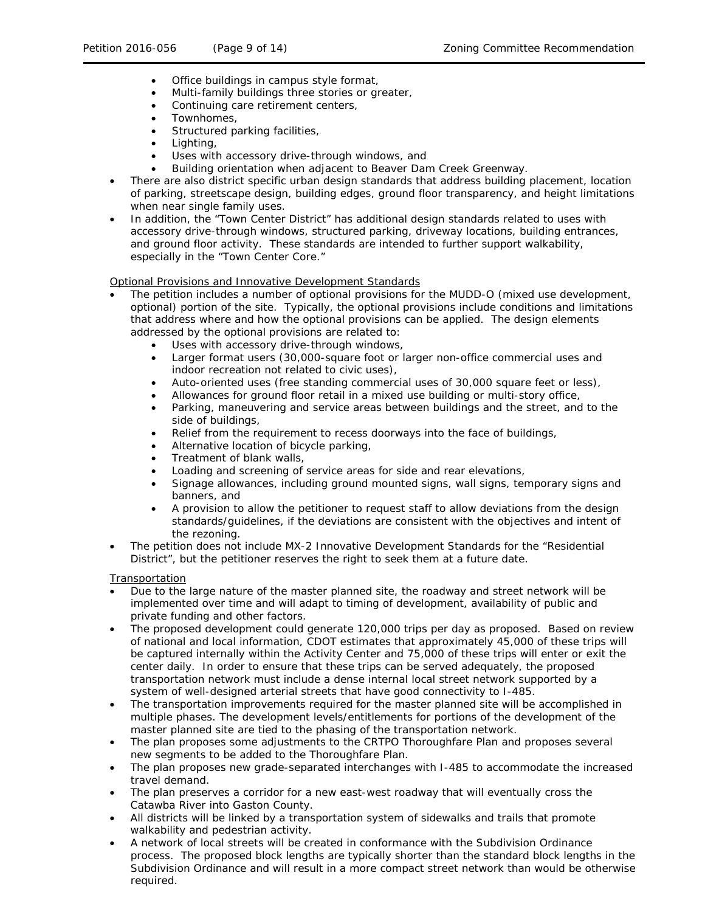- Office buildings in campus style format,
- Multi-family buildings three stories or greater,
- Continuing care retirement centers,
- Townhomes,
- Structured parking facilities,
- Lighting,
- Uses with accessory drive-through windows, and
- Building orientation when adjacent to Beaver Dam Creek Greenway.
- There are also district specific urban design standards that address building placement, location of parking, streetscape design, building edges, ground floor transparency, and height limitations when near single family uses.
- In addition, the "Town Center District" has additional design standards related to uses with accessory drive-through windows, structured parking, driveway locations, building entrances, and ground floor activity. These standards are intended to further support walkability, especially in the "Town Center Core."

Optional Provisions and Innovative Development Standards

- The petition includes a number of optional provisions for the MUDD-O (mixed use development, optional) portion of the site. Typically, the optional provisions include conditions and limitations that address where and how the optional provisions can be applied. The design elements addressed by the optional provisions are related to:
	- Uses with accessory drive-through windows,
	- Larger format users (30,000-square foot or larger non-office commercial uses and indoor recreation not related to civic uses),
	- Auto-oriented uses (free standing commercial uses of 30,000 square feet or less),
	- Allowances for ground floor retail in a mixed use building or multi-story office,
	- Parking, maneuvering and service areas between buildings and the street, and to the side of buildings,
	- Relief from the requirement to recess doorways into the face of buildings,
	- Alternative location of bicycle parking,
	- Treatment of blank walls,
	- Loading and screening of service areas for side and rear elevations,
	- Signage allowances, including ground mounted signs, wall signs, temporary signs and banners, and
	- A provision to allow the petitioner to request staff to allow deviations from the design standards/guidelines, if the deviations are consistent with the objectives and intent of the rezoning.
- The petition does not include MX-2 Innovative Development Standards for the "Residential District", but the petitioner reserves the right to seek them at a future date.

**Transportation** 

- Due to the large nature of the master planned site, the roadway and street network will be implemented over time and will adapt to timing of development, availability of public and private funding and other factors.
- The proposed development could generate 120,000 trips per day as proposed. Based on review of national and local information, CDOT estimates that approximately 45,000 of these trips will be captured internally within the Activity Center and 75,000 of these trips will enter or exit the center daily. In order to ensure that these trips can be served adequately, the proposed transportation network must include a dense internal local street network supported by a system of well-designed arterial streets that have good connectivity to I-485.
- The transportation improvements required for the master planned site will be accomplished in multiple phases. The development levels/entitlements for portions of the development of the master planned site are tied to the phasing of the transportation network.
- The plan proposes some adjustments to the CRTPO Thoroughfare Plan and proposes several new segments to be added to the Thoroughfare Plan.
- The plan proposes new grade-separated interchanges with I-485 to accommodate the increased travel demand.
- The plan preserves a corridor for a new east-west roadway that will eventually cross the Catawba River into Gaston County.
- All districts will be linked by a transportation system of sidewalks and trails that promote walkability and pedestrian activity.
- A network of local streets will be created in conformance with the Subdivision Ordinance process. The proposed block lengths are typically shorter than the standard block lengths in the Subdivision Ordinance and will result in a more compact street network than would be otherwise required.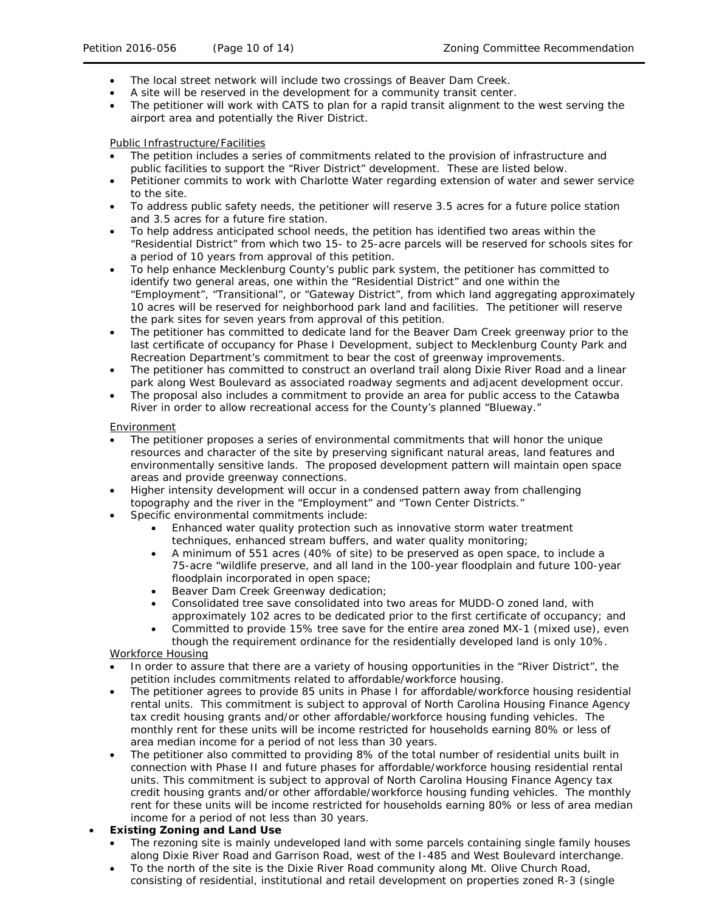- The local street network will include two crossings of Beaver Dam Creek.
- A site will be reserved in the development for a community transit center.
- The petitioner will work with CATS to plan for a rapid transit alignment to the west serving the airport area and potentially the River District.

## Public Infrastructure/Facilities

- The petition includes a series of commitments related to the provision of infrastructure and public facilities to support the "River District" development. These are listed below.
- Petitioner commits to work with Charlotte Water regarding extension of water and sewer service to the site.
- To address public safety needs, the petitioner will reserve 3.5 acres for a future police station and 3.5 acres for a future fire station.
- To help address anticipated school needs, the petition has identified two areas within the "Residential District" from which two 15- to 25-acre parcels will be reserved for schools sites for a period of 10 years from approval of this petition.
- To help enhance Mecklenburg County's public park system, the petitioner has committed to identify two general areas, one within the "Residential District" and one within the "Employment", "Transitional", or "Gateway District", from which land aggregating approximately 10 acres will be reserved for neighborhood park land and facilities. The petitioner will reserve the park sites for seven years from approval of this petition.
- The petitioner has committed to dedicate land for the Beaver Dam Creek greenway prior to the last certificate of occupancy for Phase I Development, subject to Mecklenburg County Park and Recreation Department's commitment to bear the cost of greenway improvements.
- The petitioner has committed to construct an overland trail along Dixie River Road and a linear park along West Boulevard as associated roadway segments and adjacent development occur.
- The proposal also includes a commitment to provide an area for public access to the Catawba River in order to allow recreational access for the County's planned "Blueway."

### Environment

- The petitioner proposes a series of environmental commitments that will honor the unique resources and character of the site by preserving significant natural areas, land features and environmentally sensitive lands. The proposed development pattern will maintain open space areas and provide greenway connections.
- Higher intensity development will occur in a condensed pattern away from challenging topography and the river in the "Employment" and "Town Center Districts."
- Specific environmental commitments include:
	- Enhanced water quality protection such as innovative storm water treatment techniques, enhanced stream buffers, and water quality monitoring;
	- A minimum of 551 acres (40% of site) to be preserved as open space, to include a 75-acre "wildlife preserve, and all land in the 100-year floodplain and future 100-year floodplain incorporated in open space;
	- Beaver Dam Creek Greenway dedication;
	- Consolidated tree save consolidated into two areas for MUDD-O zoned land, with approximately 102 acres to be dedicated prior to the first certificate of occupancy; and
	- Committed to provide 15% tree save for the entire area zoned MX-1 (mixed use), even though the requirement ordinance for the residentially developed land is only 10%.

# Workforce Housing

- In order to assure that there are a variety of housing opportunities in the "River District", the petition includes commitments related to affordable/workforce housing.
- The petitioner agrees to provide 85 units in Phase I for affordable/workforce housing residential rental units. This commitment is subject to approval of North Carolina Housing Finance Agency tax credit housing grants and/or other affordable/workforce housing funding vehicles. The monthly rent for these units will be income restricted for households earning 80% or less of area median income for a period of not less than 30 years.
- The petitioner also committed to providing 8% of the total number of residential units built in connection with Phase II and future phases for affordable/workforce housing residential rental units. This commitment is subject to approval of North Carolina Housing Finance Agency tax credit housing grants and/or other affordable/workforce housing funding vehicles. The monthly rent for these units will be income restricted for households earning 80% or less of area median income for a period of not less than 30 years.

# • **Existing Zoning and Land Use**

- The rezoning site is mainly undeveloped land with some parcels containing single family houses along Dixie River Road and Garrison Road, west of the I-485 and West Boulevard interchange.
- To the north of the site is the Dixie River Road community along Mt. Olive Church Road, consisting of residential, institutional and retail development on properties zoned R-3 (single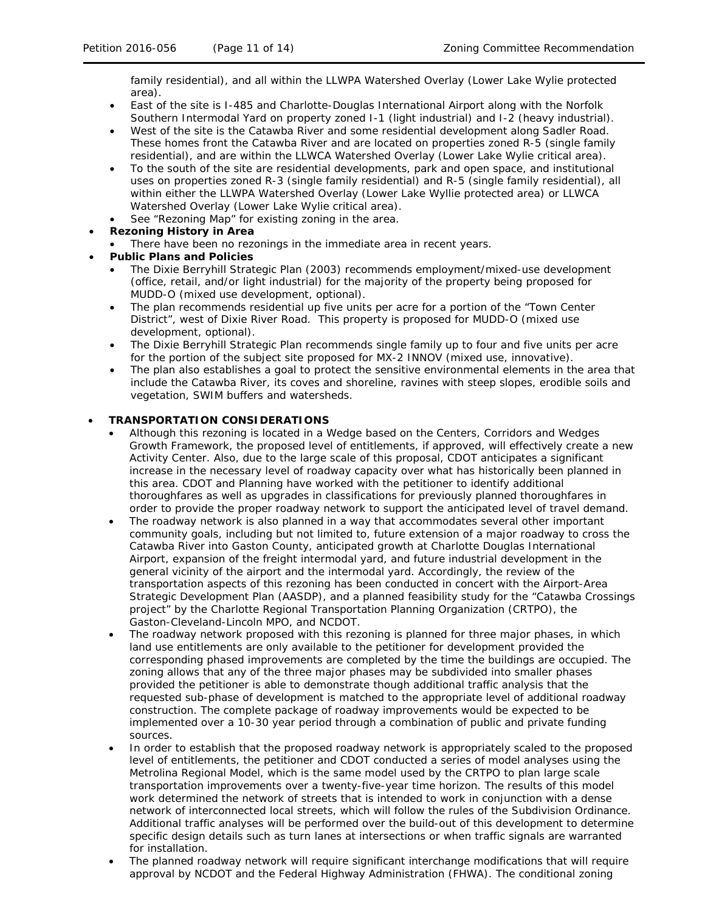family residential), and all within the LLWPA Watershed Overlay (Lower Lake Wylie protected area).

- East of the site is I-485 and Charlotte-Douglas International Airport along with the Norfolk Southern Intermodal Yard on property zoned I-1 (light industrial) and I-2 (heavy industrial).
- West of the site is the Catawba River and some residential development along Sadler Road. These homes front the Catawba River and are located on properties zoned R-5 (single family residential), and are within the LLWCA Watershed Overlay (Lower Lake Wylie critical area).
- To the south of the site are residential developments, park and open space, and institutional uses on properties zoned R-3 (single family residential) and R-5 (single family residential), all within either the LLWPA Watershed Overlay (Lower Lake Wyllie protected area) or LLWCA Watershed Overlay (Lower Lake Wylie critical area).
- See "Rezoning Map" for existing zoning in the area.
- **Rezoning History in Area**
- There have been no rezonings in the immediate area in recent years.
- **Public Plans and Policies**
	- The *Dixie Berryhill Strategic Plan* (2003) recommends employment/mixed-use development (office, retail, and/or light industrial) for the majority of the property being proposed for MUDD-O (mixed use development, optional).
	- The plan recommends residential up five units per acre for a portion of the "Town Center District", west of Dixie River Road. This property is proposed for MUDD-O (mixed use development, optional).
	- The *Dixie Berryhill Strategic Plan* recommends single family up to four and five units per acre for the portion of the subject site proposed for MX-2 INNOV (mixed use, innovative).
	- The plan also establishes a goal to protect the sensitive environmental elements in the area that include the Catawba River, its coves and shoreline, ravines with steep slopes, erodible soils and vegetation, SWIM buffers and watersheds.

# • **TRANSPORTATION CONSIDERATIONS**

- Although this rezoning is located in a Wedge based on the *Centers, Corridors and Wedges Growth Framework*, the proposed level of entitlements, if approved, will effectively create a new Activity Center. Also, due to the large scale of this proposal, CDOT anticipates a significant increase in the necessary level of roadway capacity over what has historically been planned in this area. CDOT and Planning have worked with the petitioner to identify additional thoroughfares as well as upgrades in classifications for previously planned thoroughfares in order to provide the proper roadway network to support the anticipated level of travel demand.
- The roadway network is also planned in a way that accommodates several other important community goals, including but not limited to, future extension of a major roadway to cross the Catawba River into Gaston County, anticipated growth at Charlotte Douglas International Airport, expansion of the freight intermodal yard, and future industrial development in the general vicinity of the airport and the intermodal yard. Accordingly, the review of the transportation aspects of this rezoning has been conducted in concert with the *Airport-Area Strategic Development Plan* (AASDP), and a planned feasibility study for the "Catawba Crossings project" by the Charlotte Regional Transportation Planning Organization (CRTPO), the Gaston-Cleveland-Lincoln MPO, and NCDOT.
- The roadway network proposed with this rezoning is planned for three major phases, in which land use entitlements are only available to the petitioner for development provided the corresponding phased improvements are completed by the time the buildings are occupied. The zoning allows that any of the three major phases may be subdivided into smaller phases provided the petitioner is able to demonstrate though additional traffic analysis that the requested sub-phase of development is matched to the appropriate level of additional roadway construction. The complete package of roadway improvements would be expected to be implemented over a 10-30 year period through a combination of public and private funding sources.
- In order to establish that the proposed roadway network is appropriately scaled to the proposed level of entitlements, the petitioner and CDOT conducted a series of model analyses using the Metrolina Regional Model, which is the same model used by the CRTPO to plan large scale transportation improvements over a twenty-five-year time horizon. The results of this model work determined the network of streets that is intended to work in conjunction with a dense network of interconnected local streets, which will follow the rules of the Subdivision Ordinance. Additional traffic analyses will be performed over the build-out of this development to determine specific design details such as turn lanes at intersections or when traffic signals are warranted for installation.
- The planned roadway network will require significant interchange modifications that will require approval by NCDOT and the Federal Highway Administration (FHWA). The conditional zoning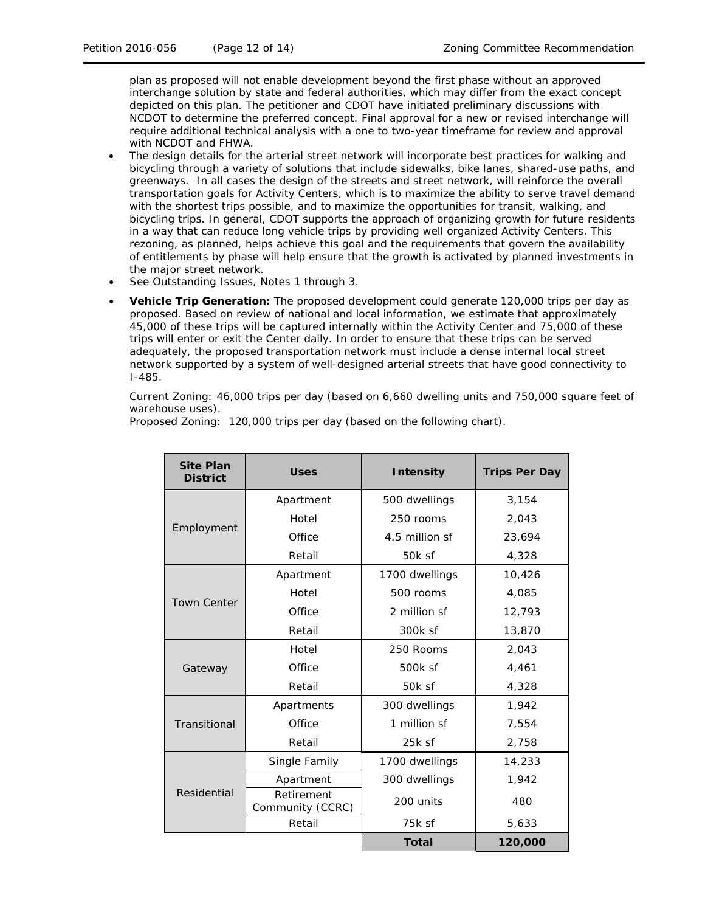plan as proposed will not enable development beyond the first phase without an approved interchange solution by state and federal authorities, which may differ from the exact concept depicted on this plan. The petitioner and CDOT have initiated preliminary discussions with NCDOT to determine the preferred concept. Final approval for a new or revised interchange will require additional technical analysis with a one to two-year timeframe for review and approval with NCDOT and FHWA.

- The design details for the arterial street network will incorporate best practices for walking and bicycling through a variety of solutions that include sidewalks, bike lanes, shared-use paths, and greenways. In all cases the design of the streets and street network, will reinforce the overall transportation goals for Activity Centers, which is to maximize the ability to serve travel demand with the shortest trips possible, and to maximize the opportunities for transit, walking, and bicycling trips. In general, CDOT supports the approach of organizing growth for future residents in a way that can reduce long vehicle trips by providing well organized Activity Centers. This rezoning, as planned, helps achieve this goal and the requirements that govern the availability of entitlements by phase will help ensure that the growth is activated by planned investments in the major street network.
- See Outstanding Issues, Notes 1 through 3.
- **Vehicle Trip Generation:** The proposed development could generate 120,000 trips per day as proposed. Based on review of national and local information, we estimate that approximately 45,000 of these trips will be captured internally within the Activity Center and 75,000 of these trips will enter or exit the Center daily. In order to ensure that these trips can be served adequately, the proposed transportation network must include a dense internal local street network supported by a system of well-designed arterial streets that have good connectivity to I-485.

Current Zoning: 46,000 trips per day (based on 6,660 dwelling units and 750,000 square feet of warehouse uses).

| <b>Site Plan</b><br><b>District</b> | <b>Uses</b>                    | <b>Intensity</b> | <b>Trips Per Day</b> |
|-------------------------------------|--------------------------------|------------------|----------------------|
|                                     | Apartment                      | 500 dwellings    | 3,154                |
|                                     | Hotel                          | 250 rooms        | 2.043                |
| Employment                          | Office                         | 4.5 million sf   | 23,694               |
|                                     | Retail                         | 50k sf           | 4,328                |
|                                     | Apartment                      | 1700 dwellings   | 10,426               |
| <b>Town Center</b>                  | Hotel                          | 500 rooms        | 4,085                |
|                                     | Office                         | 2 million sf     | 12,793               |
|                                     | Retail                         | 300k sf          | 13,870               |
| Gateway                             | Hotel                          | 250 Rooms        | 2,043                |
|                                     | Office                         | 500k sf          | 4,461                |
|                                     | Retail                         | 50k sf           | 4,328                |
|                                     | Apartments                     | 300 dwellings    | 1,942                |
| Transitional                        | Office                         | 1 million sf     | 7,554                |
|                                     | Retail                         | 25k sf           | 2,758                |
| Residential                         | Single Family                  | 1700 dwellings   | 14,233               |
|                                     | Apartment                      | 300 dwellings    | 1,942                |
|                                     | Retirement<br>Community (CCRC) | 200 units        | 480                  |
|                                     | Retail                         | 75k sf           | 5,633                |
|                                     |                                | <b>Total</b>     | 120,000              |

Proposed Zoning:120,000 trips per day (based on the following chart).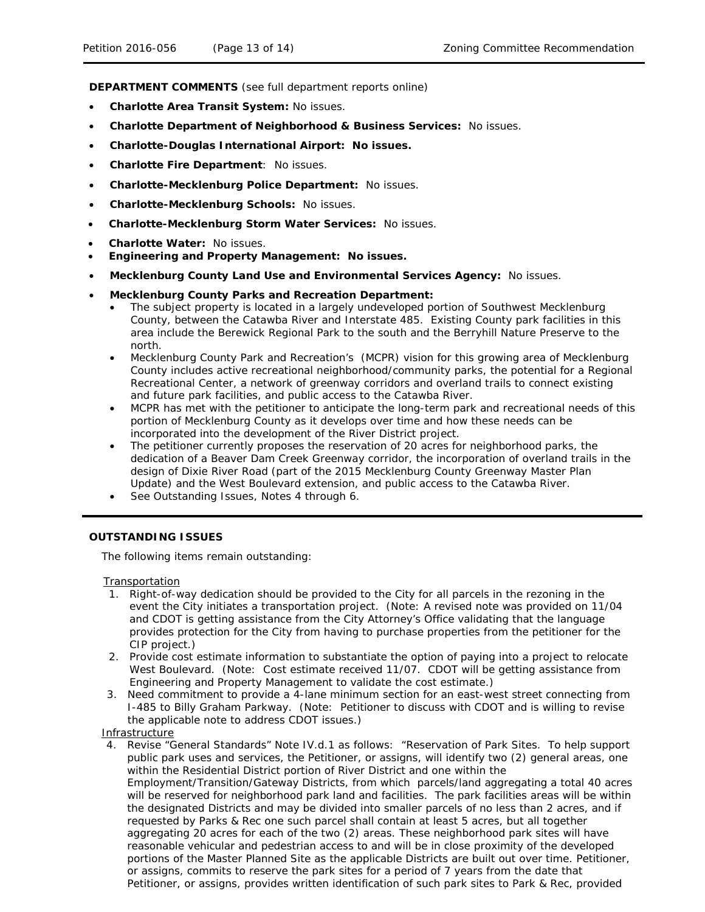**DEPARTMENT COMMENTS** (see full department reports online)

- **Charlotte Area Transit System:** No issues.
- **Charlotte Department of Neighborhood & Business Services:** No issues.
- **Charlotte-Douglas International Airport: No issues.**
- **Charlotte Fire Department**: No issues.
- **Charlotte-Mecklenburg Police Department:** No issues.
- **Charlotte-Mecklenburg Schools:** No issues.
- **Charlotte-Mecklenburg Storm Water Services:** No issues.
- **Charlotte Water:** No issues.
- **Engineering and Property Management: No issues.**
- **Mecklenburg County Land Use and Environmental Services Agency:** No issues.
- **Mecklenburg County Parks and Recreation Department:**
	- The subject property is located in a largely undeveloped portion of Southwest Mecklenburg County, between the Catawba River and Interstate 485. Existing County park facilities in this area include the Berewick Regional Park to the south and the Berryhill Nature Preserve to the north.
	- Mecklenburg County Park and Recreation's (MCPR) vision for this growing area of Mecklenburg County includes active recreational neighborhood/community parks, the potential for a Regional Recreational Center, a network of greenway corridors and overland trails to connect existing and future park facilities, and public access to the Catawba River.
	- MCPR has met with the petitioner to anticipate the long-term park and recreational needs of this portion of Mecklenburg County as it develops over time and how these needs can be incorporated into the development of the River District project.
	- The petitioner currently proposes the reservation of 20 acres for neighborhood parks, the dedication of a Beaver Dam Creek Greenway corridor, the incorporation of overland trails in the design of Dixie River Road (part of the 2015 Mecklenburg County Greenway Master Plan Update) and the West Boulevard extension, and public access to the Catawba River.
	- See Outstanding Issues, Notes 4 through 6.

### **OUTSTANDING ISSUES**

The following items remain outstanding:

**Transportation** 

- 1. Right-of-way dedication should be provided to the City for all parcels in the rezoning in the event the City initiates a transportation project. (Note: A revised note was provided on 11/04 and CDOT is getting assistance from the City Attorney's Office validating that the language provides protection for the City from having to purchase properties from the petitioner for the CIP project.)
- 2. Provide cost estimate information to substantiate the option of paying into a project to relocate West Boulevard. (Note: Cost estimate received 11/07. CDOT will be getting assistance from Engineering and Property Management to validate the cost estimate.)
- 3. Need commitment to provide a 4-lane minimum section for an east-west street connecting from I-485 to Billy Graham Parkway. (Note: Petitioner to discuss with CDOT and is willing to revise the applicable note to address CDOT issues.)
- Infrastructure
- 4. Revise "General Standards" Note IV.d.1 as follows: "Reservation of Park Sites. To help support public park uses and services, the Petitioner, or assigns, will identify two (2) general areas, one within the Residential District portion of River District and one within the Employment/Transition/Gateway Districts, from which parcels/land aggregating a total 40 acres will be reserved for neighborhood park land and facilities. The park facilities areas will be within the designated Districts and may be divided into smaller parcels of no less than 2 acres, and if requested by Parks & Rec one such parcel shall contain at least 5 acres, but all together aggregating 20 acres for each of the two (2) areas. These neighborhood park sites will have reasonable vehicular and pedestrian access to and will be in close proximity of the developed portions of the Master Planned Site as the applicable Districts are built out over time. Petitioner, or assigns, commits to reserve the park sites for a period of 7 years from the date that Petitioner, or assigns, provides written identification of such park sites to Park & Rec, provided